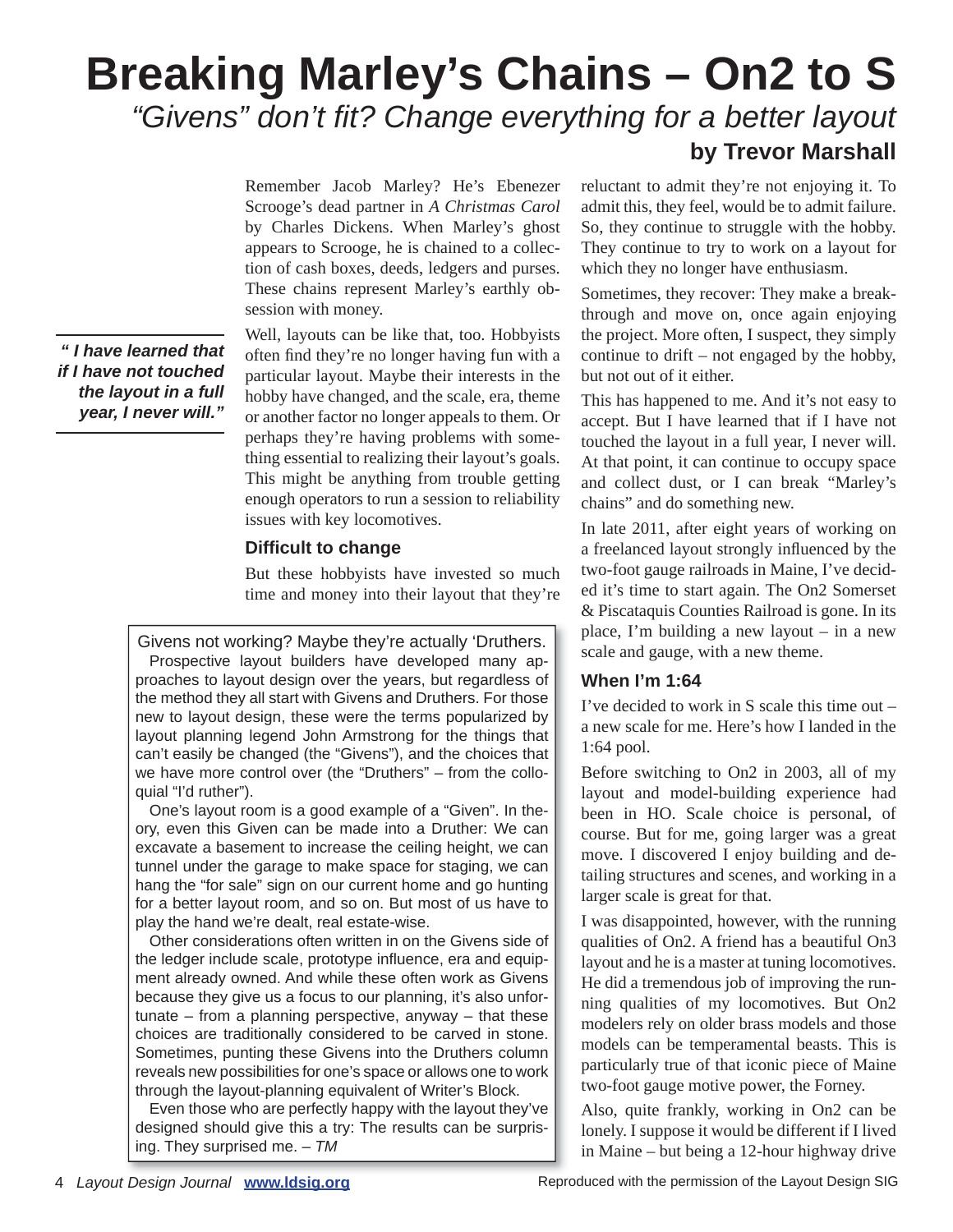# **Breaking Marley's Chains – On2 to S** "Givens" don't fit? Change everything for a better layout **by Trevor Marshall**

Remember Jacob Marley? He's Ebenezer Scrooge's dead partner in *A Christmas Carol*  by Charles Dickens. When Marley's ghost appears to Scrooge, he is chained to a collection of cash boxes, deeds, ledgers and purses. These chains represent Marley's earthly obsession with money.

Well, layouts can be like that, too. Hobbyists often find they're no longer having fun with a particular layout. Maybe their interests in the hobby have changed, and the scale, era, theme or another factor no longer appeals to them. Or perhaps they're having problems with something essential to realizing their layout's goals. This might be anything from trouble getting enough operators to run a session to reliability issues with key locomotives.

### **Difficult to change**

But these hobbyists have invested so much time and money into their layout that they're

Givens not working? Maybe they're actually 'Druthers. Prospective layout builders have developed many approaches to layout design over the years, but regardless of the method they all start with Givens and Druthers. For those new to layout design, these were the terms popularized by layout planning legend John Armstrong for the things that can't easily be changed (the "Givens"), and the choices that we have more control over (the "Druthers" – from the colloquial "I'd ruther").

One's layout room is a good example of a "Given". In theory, even this Given can be made into a Druther: We can excavate a basement to increase the ceiling height, we can tunnel under the garage to make space for staging, we can hang the "for sale" sign on our current home and go hunting for a better layout room, and so on. But most of us have to play the hand we're dealt, real estate-wise.

Other considerations often written in on the Givens side of the ledger include scale, prototype influence, era and equipment already owned. And while these often work as Givens because they give us a focus to our planning, it's also unfortunate – from a planning perspective, anyway – that these choices are traditionally considered to be carved in stone. Sometimes, punting these Givens into the Druthers column reveals new possibilities for one's space or allows one to work through the layout-planning equivalent of Writer's Block.

Even those who are perfectly happy with the layout they've designed should give this a try: The results can be surprising. They surprised me. – *TM*

reluctant to admit they're not enjoying it. To admit this, they feel, would be to admit failure. So, they continue to struggle with the hobby. They continue to try to work on a layout for which they no longer have enthusiasm.

Sometimes, they recover: They make a breakthrough and move on, once again enjoying the project. More often, I suspect, they simply continue to drift – not engaged by the hobby, but not out of it either.

This has happened to me. And it's not easy to accept. But I have learned that if I have not touched the layout in a full year, I never will. At that point, it can continue to occupy space and collect dust, or I can break "Marley's chains" and do something new.

In late 2011, after eight years of working on a freelanced layout strongly influenced by the two-foot gauge railroads in Maine, I've decided it's time to start again. The On2 Somerset & Piscataquis Counties Railroad is gone. In its place, I'm building a new layout – in a new scale and gauge, with a new theme.

# **When I'm 1:64**

I've decided to work in S scale this time out – a new scale for me. Here's how I landed in the 1:64 pool.

Before switching to On2 in 2003, all of my layout and model-building experience had been in HO. Scale choice is personal, of course. But for me, going larger was a great move. I discovered I enjoy building and detailing structures and scenes, and working in a larger scale is great for that.

I was disappointed, however, with the running qualities of On2. A friend has a beautiful On3 layout and he is a master at tuning locomotives. He did a tremendous job of improving the running qualities of my locomotives. But On2 modelers rely on older brass models and those models can be temperamental beasts. This is particularly true of that iconic piece of Maine two-foot gauge motive power, the Forney.

Also, quite frankly, working in On2 can be lonely. I suppose it would be different if I lived in Maine – but being a 12-hour highway drive

*" I have learned that if I have not touched the layout in a full year, I never will."*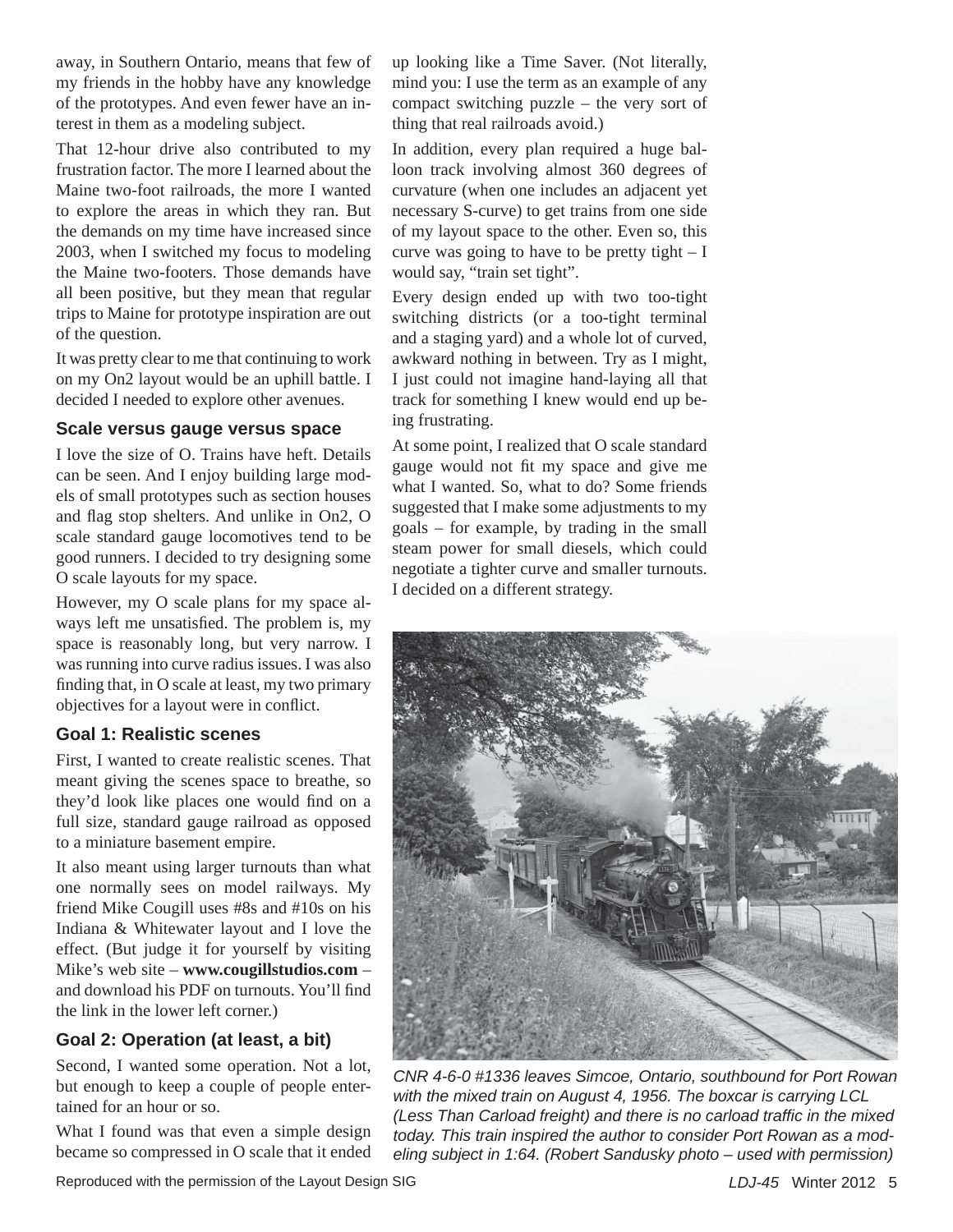away, in Southern Ontario, means that few of my friends in the hobby have any knowledge of the prototypes. And even fewer have an interest in them as a modeling subject.

That 12-hour drive also contributed to my frustration factor. The more I learned about the Maine two-foot railroads, the more I wanted to explore the areas in which they ran. But the demands on my time have increased since 2003, when I switched my focus to modeling the Maine two-footers. Those demands have all been positive, but they mean that regular trips to Maine for prototype inspiration are out of the question.

It was pretty clear to me that continuing to work on my On2 layout would be an uphill battle. I decided I needed to explore other avenues.

#### **Scale versus gauge versus space**

I love the size of O. Trains have heft. Details can be seen. And I enjoy building large models of small prototypes such as section houses and flag stop shelters. And unlike in On2, O scale standard gauge locomotives tend to be good runners. I decided to try designing some O scale layouts for my space.

However, my O scale plans for my space always left me unsatisfied. The problem is, my space is reasonably long, but very narrow. I was running into curve radius issues. I was also finding that, in O scale at least, my two primary objectives for a layout were in conflict.

# **Goal 1: Realistic scenes**

First, I wanted to create realistic scenes. That meant giving the scenes space to breathe, so they'd look like places one would find on a full size, standard gauge railroad as opposed to a miniature basement empire.

It also meant using larger turnouts than what one normally sees on model railways. My friend Mike Cougill uses #8s and #10s on his Indiana & Whitewater layout and I love the effect. (But judge it for yourself by visiting Mike's web site – **www.cougillstudios.com** – and download his PDF on turnouts. You'll find the link in the lower left corner.)

# **Goal 2: Operation (at least, a bit)**

Second, I wanted some operation. Not a lot, but enough to keep a couple of people entertained for an hour or so.

What I found was that even a simple design became so compressed in O scale that it ended

up looking like a Time Saver. (Not literally, mind you: I use the term as an example of any compact switching puzzle – the very sort of thing that real railroads avoid.)

In addition, every plan required a huge balloon track involving almost 360 degrees of curvature (when one includes an adjacent yet necessary S-curve) to get trains from one side of my layout space to the other. Even so, this curve was going to have to be pretty tight  $-I$ would say, "train set tight".

Every design ended up with two too-tight switching districts (or a too-tight terminal and a staging yard) and a whole lot of curved, awkward nothing in between. Try as I might, I just could not imagine hand-laying all that track for something I knew would end up being frustrating.

At some point, I realized that O scale standard gauge would not fit my space and give me what I wanted. So, what to do? Some friends suggested that I make some adjustments to my goals – for example, by trading in the small steam power for small diesels, which could negotiate a tighter curve and smaller turnouts. I decided on a different strategy.



*CNR 4-6-0 #1336 leaves Simcoe, Ontario, southbound for Port Rowan with the mixed train on August 4, 1956. The boxcar is carrying LCL (Less Than Carload freight) and there is no carload traffic in the mixed today. This train inspired the author to consider Port Rowan as a modeling subject in 1:64. (Robert Sandusky photo – used with permission)*

Reproduced with the permission of the Layout Design SIG *LDJ-45* Winter 2012 5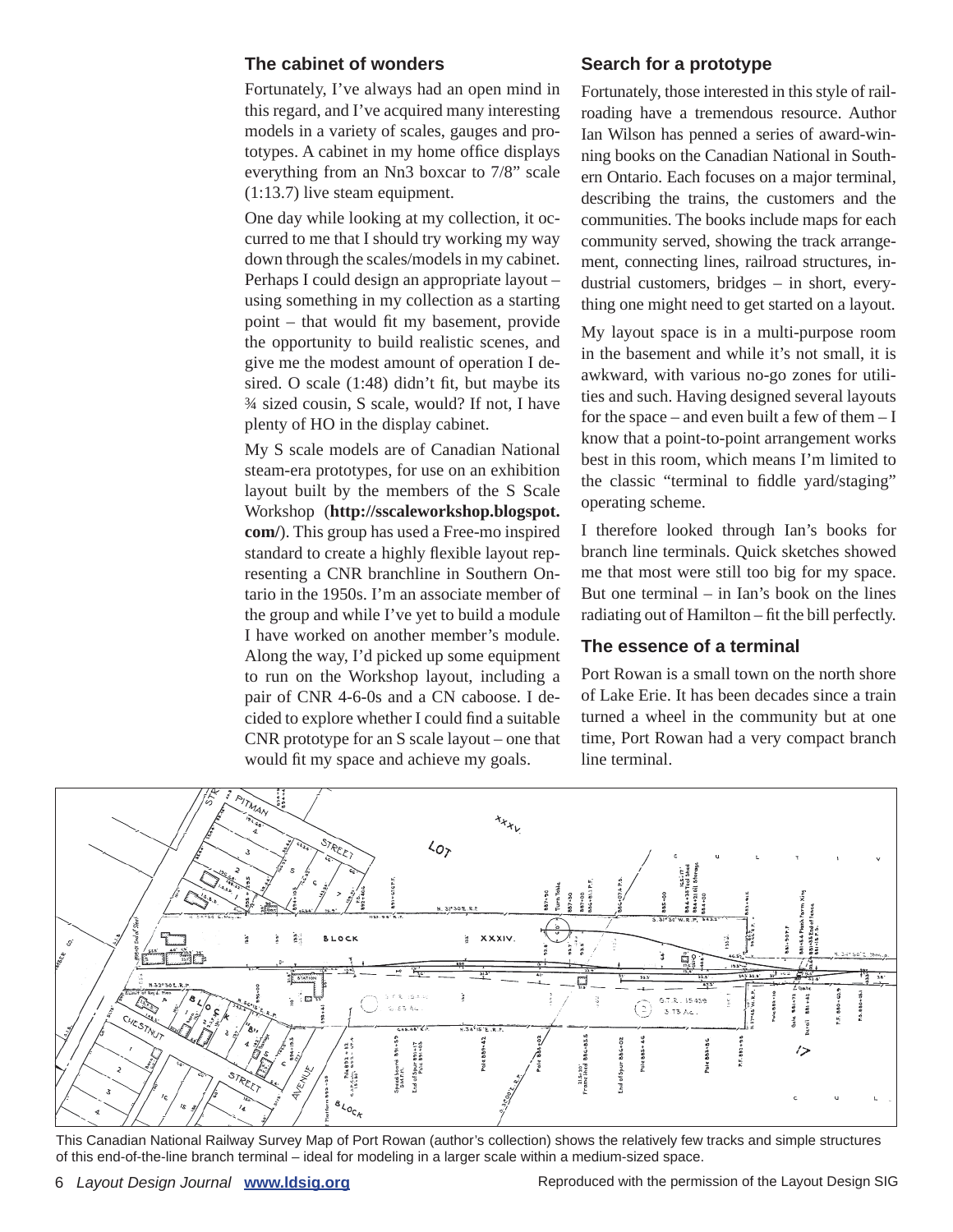#### **The cabinet of wonders**

Fortunately, I've always had an open mind in this regard, and I've acquired many interesting models in a variety of scales, gauges and prototypes. A cabinet in my home office displays everything from an Nn3 boxcar to 7/8" scale (1:13.7) live steam equipment.

One day while looking at my collection, it occurred to me that I should try working my way down through the scales/models in my cabinet. Perhaps I could design an appropriate layout – using something in my collection as a starting point – that would fit my basement, provide the opportunity to build realistic scenes, and give me the modest amount of operation I desired. O scale  $(1:48)$  didn't fit, but maybe its ¾ sized cousin, S scale, would? If not, I have plenty of HO in the display cabinet.

My S scale models are of Canadian National steam-era prototypes, for use on an exhibition layout built by the members of the S Scale Workshop (**http://sscaleworkshop.blogspot. com/**). This group has used a Free-mo inspired standard to create a highly flexible layout representing a CNR branchline in Southern Ontario in the 1950s. I'm an associate member of the group and while I've yet to build a module I have worked on another member's module. Along the way, I'd picked up some equipment to run on the Workshop layout, including a pair of CNR 4-6-0s and a CN caboose. I decided to explore whether I could find a suitable CNR prototype for an S scale layout – one that would fit my space and achieve my goals.

#### **Search for a prototype**

Fortunately, those interested in this style of railroading have a tremendous resource. Author Ian Wilson has penned a series of award-winning books on the Canadian National in Southern Ontario. Each focuses on a major terminal, describing the trains, the customers and the communities. The books include maps for each community served, showing the track arrangement, connecting lines, railroad structures, industrial customers, bridges – in short, everything one might need to get started on a layout.

My layout space is in a multi-purpose room in the basement and while it's not small, it is awkward, with various no-go zones for utilities and such. Having designed several layouts for the space – and even built a few of them  $-I$ know that a point-to-point arrangement works best in this room, which means I'm limited to the classic "terminal to fiddle yard/staging" operating scheme.

I therefore looked through Ian's books for branch line terminals. Quick sketches showed me that most were still too big for my space. But one terminal – in Ian's book on the lines radiating out of Hamilton – fit the bill perfectly.

#### **The essence of a terminal**

Port Rowan is a small town on the north shore of Lake Erie. It has been decades since a train turned a wheel in the community but at one time, Port Rowan had a very compact branch line terminal.



This Canadian National Railway Survey Map of Port Rowan (author's collection) shows the relatively few tracks and simple structures of this end-of-the-line branch terminal – ideal for modeling in a larger scale within a medium-sized space.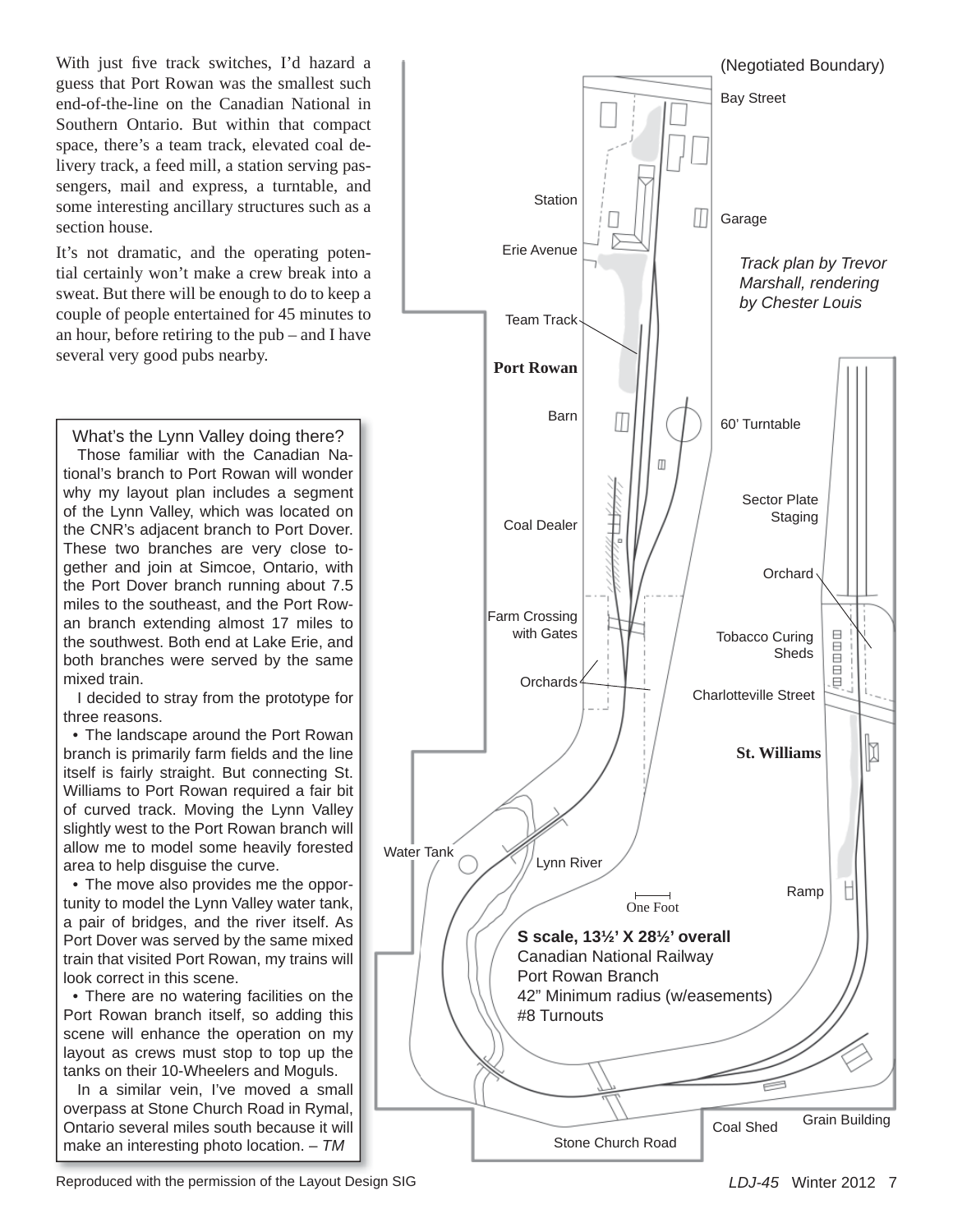With just five track switches, I'd hazard a guess that Port Rowan was the smallest such end-of-the-line on the Canadian National in Southern Ontario. But within that compact space, there's a team track, elevated coal delivery track, a feed mill, a station serving passengers, mail and express, a turntable, and some interesting ancillary structures such as a section house.

It's not dramatic, and the operating potential certainly won't make a crew break into a sweat. But there will be enough to do to keep a couple of people entertained for 45 minutes to an hour, before retiring to the pub – and I have several very good pubs nearby.

What's the Lynn Valley doing there? Those familiar with the Canadian National's branch to Port Rowan will wonder why my layout plan includes a segment of the Lynn Valley, which was located on the CNR's adjacent branch to Port Dover. These two branches are very close together and join at Simcoe, Ontario, with the Port Dover branch running about 7.5 miles to the southeast, and the Port Rowan branch extending almost 17 miles to the southwest. Both end at Lake Erie, and both branches were served by the same mixed train.

I decided to stray from the prototype for three reasons.

• The landscape around the Port Rowan branch is primarily farm fields and the line itself is fairly straight. But connecting St. Williams to Port Rowan required a fair bit of curved track. Moving the Lynn Valley slightly west to the Port Rowan branch will allow me to model some heavily forested area to help disguise the curve.

• The move also provides me the opportunity to model the Lynn Valley water tank, a pair of bridges, and the river itself. As Port Dover was served by the same mixed train that visited Port Rowan, my trains will look correct in this scene.

• There are no watering facilities on the Port Rowan branch itself, so adding this scene will enhance the operation on my layout as crews must stop to top up the tanks on their 10-Wheelers and Moguls.

In a similar vein, I've moved a small overpass at Stone Church Road in Rymal, Ontario several miles south because it will make an interesting photo location. – *TM*



Reproduced with the permission of the Layout Design SIG *LDJ-45* Winter 2012 7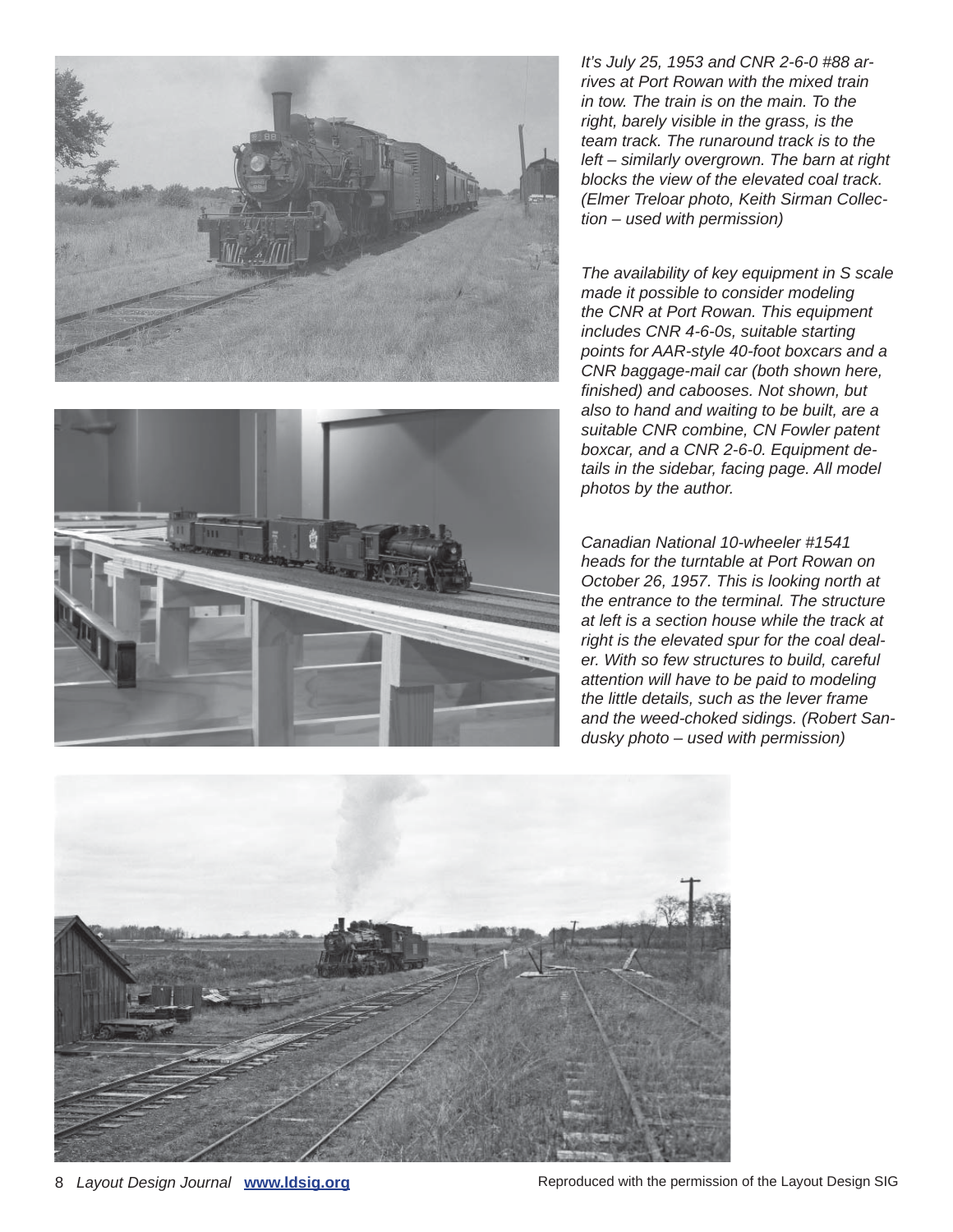



*It's July 25, 1953 and CNR 2-6-0 #88 arrives at Port Rowan with the mixed train in tow. The train is on the main. To the right, barely visible in the grass, is the team track. The runaround track is to the left – similarly overgrown. The barn at right blocks the view of the elevated coal track. (Elmer Treloar photo, Keith Sirman Collection – used with permission)*

*The availability of key equipment in S scale made it possible to consider modeling the CNR at Port Rowan. This equipment includes CNR 4-6-0s, suitable starting points for AAR-style 40-foot boxcars and a CNR baggage-mail car (both shown here, fi nished) and cabooses. Not shown, but also to hand and waiting to be built, are a suitable CNR combine, CN Fowler patent boxcar, and a CNR 2-6-0. Equipment details in the sidebar, facing page. All model photos by the author.*

*Canadian National 10-wheeler #1541 heads for the turntable at Port Rowan on October 26, 1957. This is looking north at the entrance to the terminal. The structure at left is a section house while the track at right is the elevated spur for the coal dealer. With so few structures to build, careful attention will have to be paid to modeling the little details, such as the lever frame and the weed-choked sidings. (Robert Sandusky photo – used with permission)*



8 *Layout Design Journal* **www.ldsig.org Reproduced with the permission of the Layout Design SIG**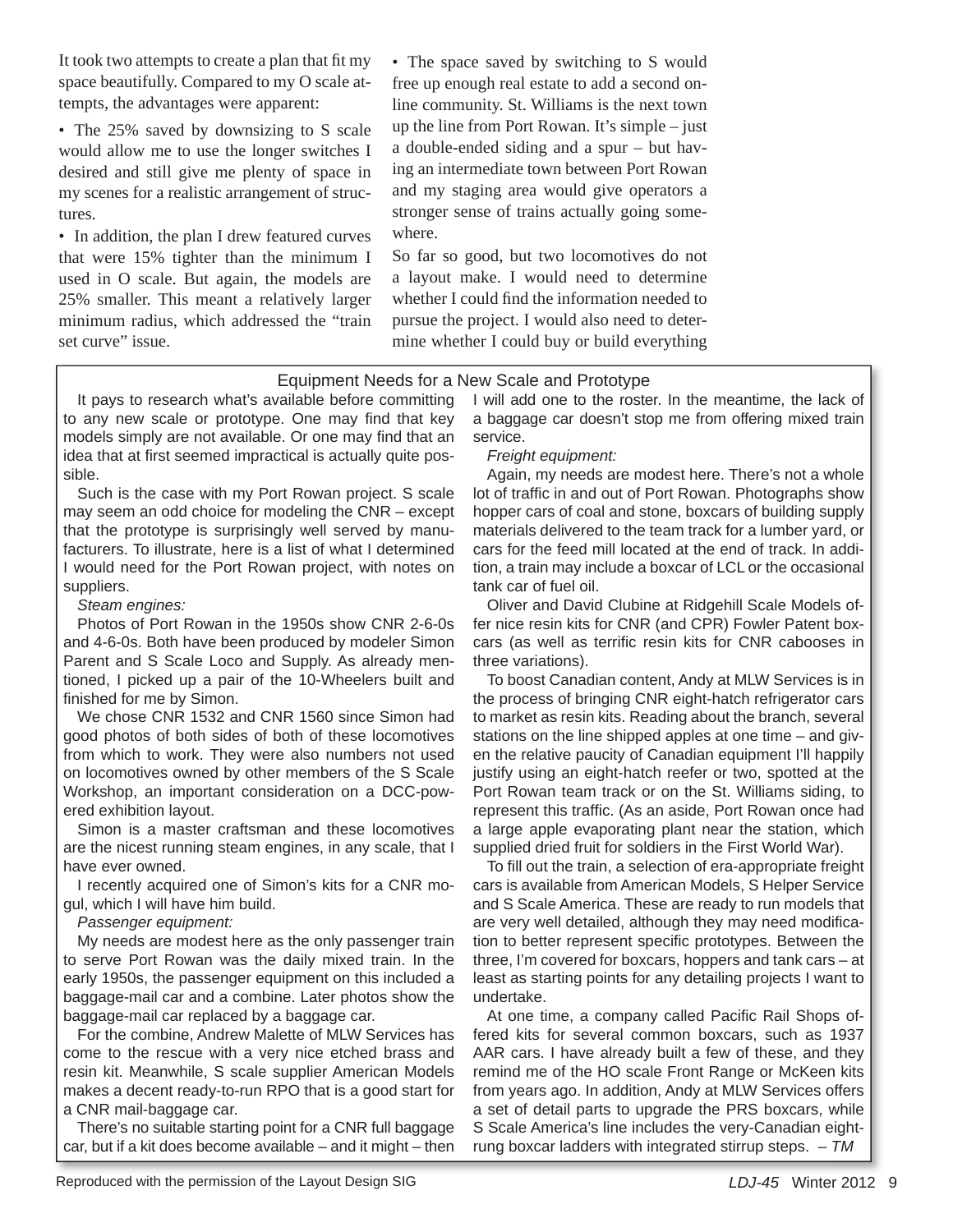It took two attempts to create a plan that fit my space beautifully. Compared to my O scale attempts, the advantages were apparent:

• The 25% saved by downsizing to S scale would allow me to use the longer switches I desired and still give me plenty of space in my scenes for a realistic arrangement of structures.

• In addition, the plan I drew featured curves that were 15% tighter than the minimum I used in O scale. But again, the models are 25% smaller. This meant a relatively larger minimum radius, which addressed the "train set curve" issue.

• The space saved by switching to S would free up enough real estate to add a second online community. St. Williams is the next town up the line from Port Rowan. It's simple – just a double-ended siding and a spur – but having an intermediate town between Port Rowan and my staging area would give operators a stronger sense of trains actually going somewhere.

So far so good, but two locomotives do not a layout make. I would need to determine whether I could find the information needed to pursue the project. I would also need to determine whether I could buy or build everything

#### Equipment Needs for a New Scale and Prototype

It pays to research what's available before committing to any new scale or prototype. One may find that key models simply are not available. Or one may find that an idea that at first seemed impractical is actually quite possible.

Such is the case with my Port Rowan project. S scale may seem an odd choice for modeling the CNR – except that the prototype is surprisingly well served by manufacturers. To illustrate, here is a list of what I determined I would need for the Port Rowan project, with notes on suppliers.

*Steam engines:*

Photos of Port Rowan in the 1950s show CNR 2-6-0s and 4-6-0s. Both have been produced by modeler Simon Parent and S Scale Loco and Supply. As already mentioned, I picked up a pair of the 10-Wheelers built and finished for me by Simon.

We chose CNR 1532 and CNR 1560 since Simon had good photos of both sides of both of these locomotives from which to work. They were also numbers not used on locomotives owned by other members of the S Scale Workshop, an important consideration on a DCC-powered exhibition layout.

Simon is a master craftsman and these locomotives are the nicest running steam engines, in any scale, that I have ever owned.

I recently acquired one of Simon's kits for a CNR mogul, which I will have him build.

*Passenger equipment:*

My needs are modest here as the only passenger train to serve Port Rowan was the daily mixed train. In the early 1950s, the passenger equipment on this included a baggage-mail car and a combine. Later photos show the baggage-mail car replaced by a baggage car.

For the combine, Andrew Malette of MLW Services has come to the rescue with a very nice etched brass and resin kit. Meanwhile, S scale supplier American Models makes a decent ready-to-run RPO that is a good start for a CNR mail-baggage car.

There's no suitable starting point for a CNR full baggage car, but if a kit does become available – and it might – then I will add one to the roster. In the meantime, the lack of a baggage car doesn't stop me from offering mixed train service.

*Freight equipment:*

Again, my needs are modest here. There's not a whole lot of traffic in and out of Port Rowan. Photographs show hopper cars of coal and stone, boxcars of building supply materials delivered to the team track for a lumber yard, or cars for the feed mill located at the end of track. In addition, a train may include a boxcar of LCL or the occasional tank car of fuel oil.

Oliver and David Clubine at Ridgehill Scale Models offer nice resin kits for CNR (and CPR) Fowler Patent boxcars (as well as terrific resin kits for CNR cabooses in three variations).

To boost Canadian content, Andy at MLW Services is in the process of bringing CNR eight-hatch refrigerator cars to market as resin kits. Reading about the branch, several stations on the line shipped apples at one time – and given the relative paucity of Canadian equipment I'll happily justify using an eight-hatch reefer or two, spotted at the Port Rowan team track or on the St. Williams siding, to represent this traffic. (As an aside, Port Rowan once had a large apple evaporating plant near the station, which supplied dried fruit for soldiers in the First World War).

To fill out the train, a selection of era-appropriate freight cars is available from American Models, S Helper Service and S Scale America. These are ready to run models that are very well detailed, although they may need modification to better represent specific prototypes. Between the three, I'm covered for boxcars, hoppers and tank cars – at least as starting points for any detailing projects I want to undertake.

At one time, a company called Pacific Rail Shops offered kits for several common boxcars, such as 1937 AAR cars. I have already built a few of these, and they remind me of the HO scale Front Range or McKeen kits from years ago. In addition, Andy at MLW Services offers a set of detail parts to upgrade the PRS boxcars, while S Scale America's line includes the very-Canadian eightrung boxcar ladders with integrated stirrup steps. – *TM*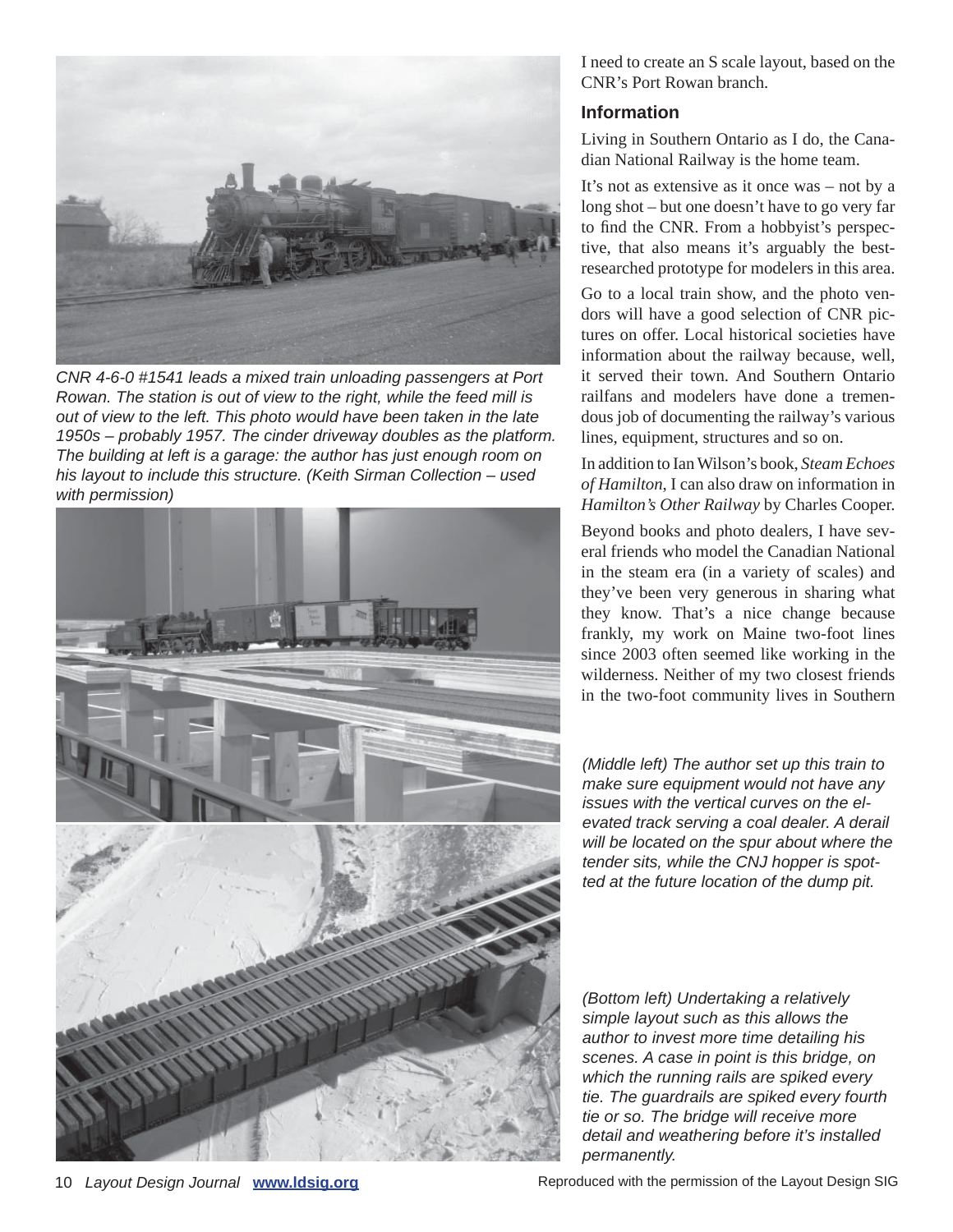

*CNR 4-6-0 #1541 leads a mixed train unloading passengers at Port Rowan. The station is out of view to the right, while the feed mill is out of view to the left. This photo would have been taken in the late 1950s – probably 1957. The cinder driveway doubles as the platform. The building at left is a garage: the author has just enough room on his layout to include this structure. (Keith Sirman Collection – used with permission)*



I need to create an S scale layout, based on the CNR's Port Rowan branch.

## **Information**

Living in Southern Ontario as I do, the Canadian National Railway is the home team.

It's not as extensive as it once was – not by a long shot – but one doesn't have to go very far to find the CNR. From a hobbyist's perspective, that also means it's arguably the bestresearched prototype for modelers in this area.

Go to a local train show, and the photo vendors will have a good selection of CNR pictures on offer. Local historical societies have information about the railway because, well, it served their town. And Southern Ontario railfans and modelers have done a tremendous job of documenting the railway's various lines, equipment, structures and so on.

In addition to Ian Wilson's book, *Steam Echoes of Hamilton*, I can also draw on information in *Hamilton's Other Railway* by Charles Cooper.

Beyond books and photo dealers, I have several friends who model the Canadian National in the steam era (in a variety of scales) and they've been very generous in sharing what they know. That's a nice change because frankly, my work on Maine two-foot lines since 2003 often seemed like working in the wilderness. Neither of my two closest friends in the two-foot community lives in Southern

*(Middle left) The author set up this train to make sure equipment would not have any issues with the vertical curves on the elevated track serving a coal dealer. A derail will be located on the spur about where the tender sits, while the CNJ hopper is spotted at the future location of the dump pit.*

*(Bottom left) Undertaking a relatively simple layout such as this allows the author to invest more time detailing his scenes. A case in point is this bridge, on which the running rails are spiked every tie. The guardrails are spiked every fourth tie or so. The bridge will receive more detail and weathering before it's installed permanently.*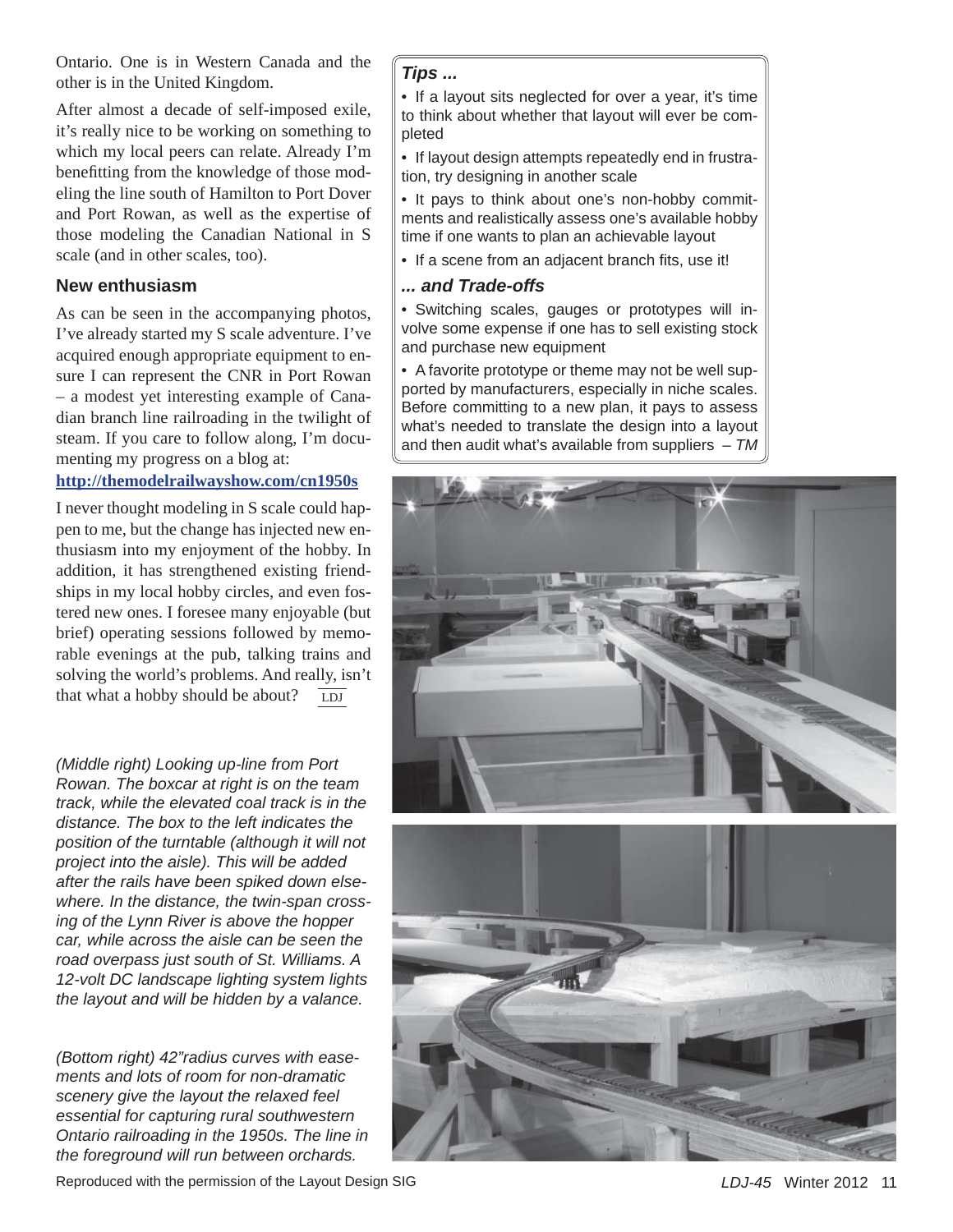Ontario. One is in Western Canada and the other is in the United Kingdom.

After almost a decade of self-imposed exile, it's really nice to be working on something to which my local peers can relate. Already I'm benefitting from the knowledge of those modeling the line south of Hamilton to Port Dover and Port Rowan, as well as the expertise of those modeling the Canadian National in S scale (and in other scales, too).

#### **New enthusiasm**

As can be seen in the accompanying photos, I've already started my S scale adventure. I've acquired enough appropriate equipment to ensure I can represent the CNR in Port Rowan – a modest yet interesting example of Canadian branch line railroading in the twilight of steam. If you care to follow along, I'm documenting my progress on a blog at:

#### **http://themodelrailwayshow.com/cn1950s**

I never thought modeling in S scale could happen to me, but the change has injected new enthusiasm into my enjoyment of the hobby. In addition, it has strengthened existing friendships in my local hobby circles, and even fostered new ones. I foresee many enjoyable (but brief) operating sessions followed by memorable evenings at the pub, talking trains and solving the world's problems. And really, isn't that what a hobby should be about? LDJ

*(Middle right) Looking up-line from Port Rowan. The boxcar at right is on the team track, while the elevated coal track is in the distance. The box to the left indicates the position of the turntable (although it will not project into the aisle). This will be added after the rails have been spiked down elsewhere. In the distance, the twin-span crossing of the Lynn River is above the hopper car, while across the aisle can be seen the road overpass just south of St. Williams. A 12-volt DC landscape lighting system lights the layout and will be hidden by a valance.*

*(Bottom right) 42"radius curves with easements and lots of room for non-dramatic scenery give the layout the relaxed feel essential for capturing rural southwestern Ontario railroading in the 1950s. The line in the foreground will run between orchards.*

#### *Tips ...*

• If a layout sits neglected for over a year, it's time to think about whether that layout will ever be completed

• If layout design attempts repeatedly end in frustration, try designing in another scale

• It pays to think about one's non-hobby commitments and realistically assess one's available hobby time if one wants to plan an achievable layout

• If a scene from an adjacent branch fits, use it!

#### *... and Trade-offs*

• Switching scales, gauges or prototypes will involve some expense if one has to sell existing stock and purchase new equipment

• A favorite prototype or theme may not be well supported by manufacturers, especially in niche scales. Before committing to a new plan, it pays to assess what's needed to translate the design into a layout and then audit what's available from suppliers – *TM*



Reproduced with the permission of the Layout Design SIG *LDJ-45* Winter 2012 11